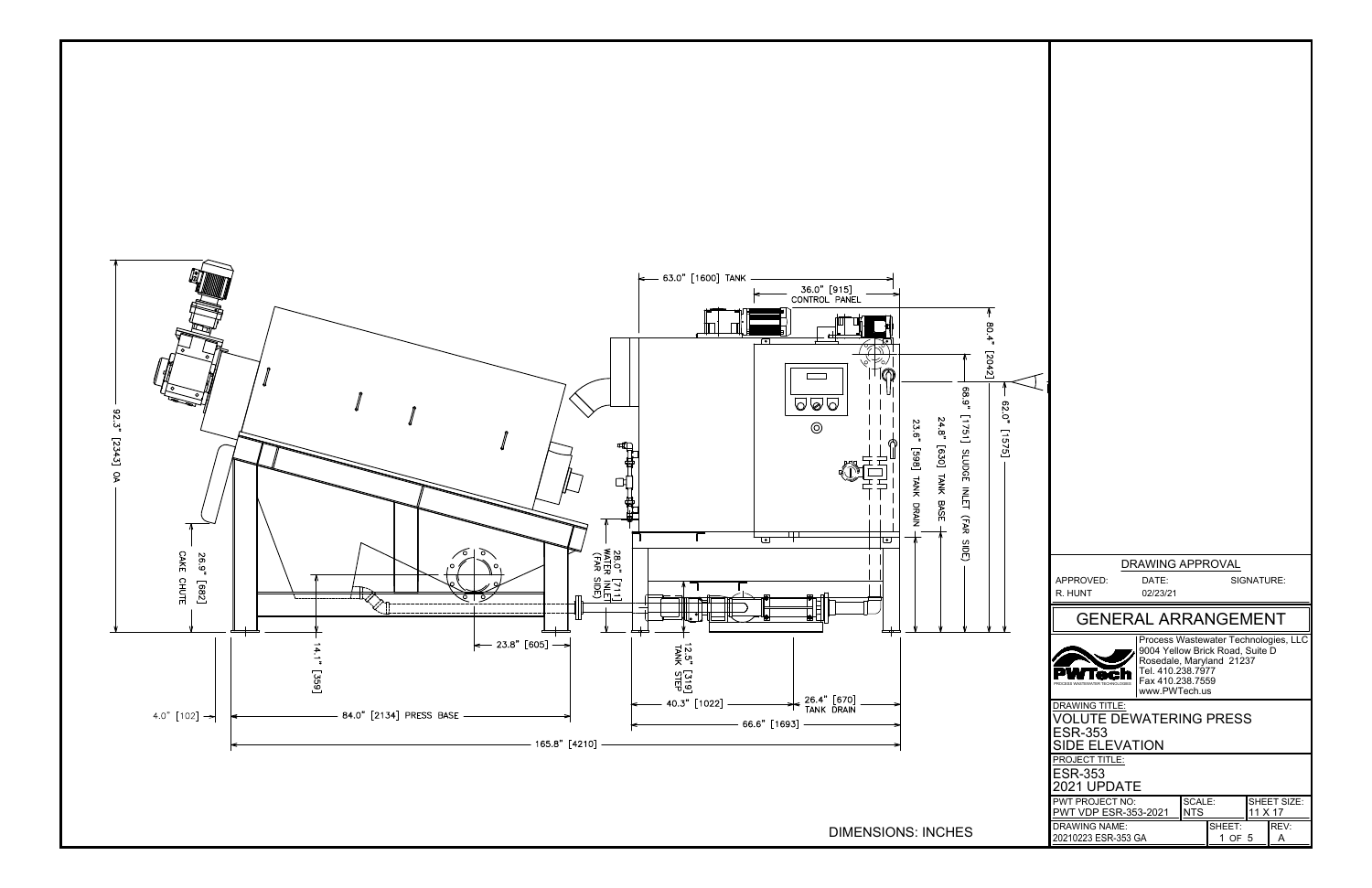

| [915]<br>PANEL<br>$\leq 80.4$ " [2042]<br>68.9"<br>62.0" [1575]<br>[1751] SLUDGE INLET (FAR SIDE)<br>24.8" [630] TANK BASE<br>23.6" [598] TANK DRAIN |                                                                                                                                                                                                                                                                      |
|------------------------------------------------------------------------------------------------------------------------------------------------------|----------------------------------------------------------------------------------------------------------------------------------------------------------------------------------------------------------------------------------------------------------------------|
| ⊡                                                                                                                                                    |                                                                                                                                                                                                                                                                      |
|                                                                                                                                                      | DRAWING APPROVAL<br>DATE:<br>SIGNATURE:<br>APPROVED:                                                                                                                                                                                                                 |
|                                                                                                                                                      | R. HUNT<br>02/23/21                                                                                                                                                                                                                                                  |
|                                                                                                                                                      | <b>GENERAL ARRANGEMENT</b>                                                                                                                                                                                                                                           |
| $[670]$<br><b>DRAIN</b>                                                                                                                              | Process Wastewater Technologies, LLC<br>9004 Yellow Brick Road, Suite D<br>Rosedale, Maryland 21237<br>Tel. 410.238.7977<br>Fax 410.238.7559<br>ASTEWATER TECHNOLOGIES<br>www.PWTech.us<br><b>DRAWING TITLE:</b><br><b>VOLUTE DEWATERING PRESS</b><br><b>ESR-353</b> |
|                                                                                                                                                      | <b>SIDE ELEVATION</b>                                                                                                                                                                                                                                                |
|                                                                                                                                                      | <b>PROJECT TITLE:</b><br><b>ESR-353</b><br>2021 UPDATE                                                                                                                                                                                                               |
|                                                                                                                                                      | PWT PROJECT NO:<br>SHEET SIZE:<br>SCALE:<br><b>NTS</b><br>PWT VDP ESR-353-2021<br>11 X 17                                                                                                                                                                            |
| DIMENSIONS: INCHES                                                                                                                                   | <b>DRAWING NAME:</b><br>SHEET:<br>REV:<br>20210223 ESR-353 GA<br>1 OF 5<br>A                                                                                                                                                                                         |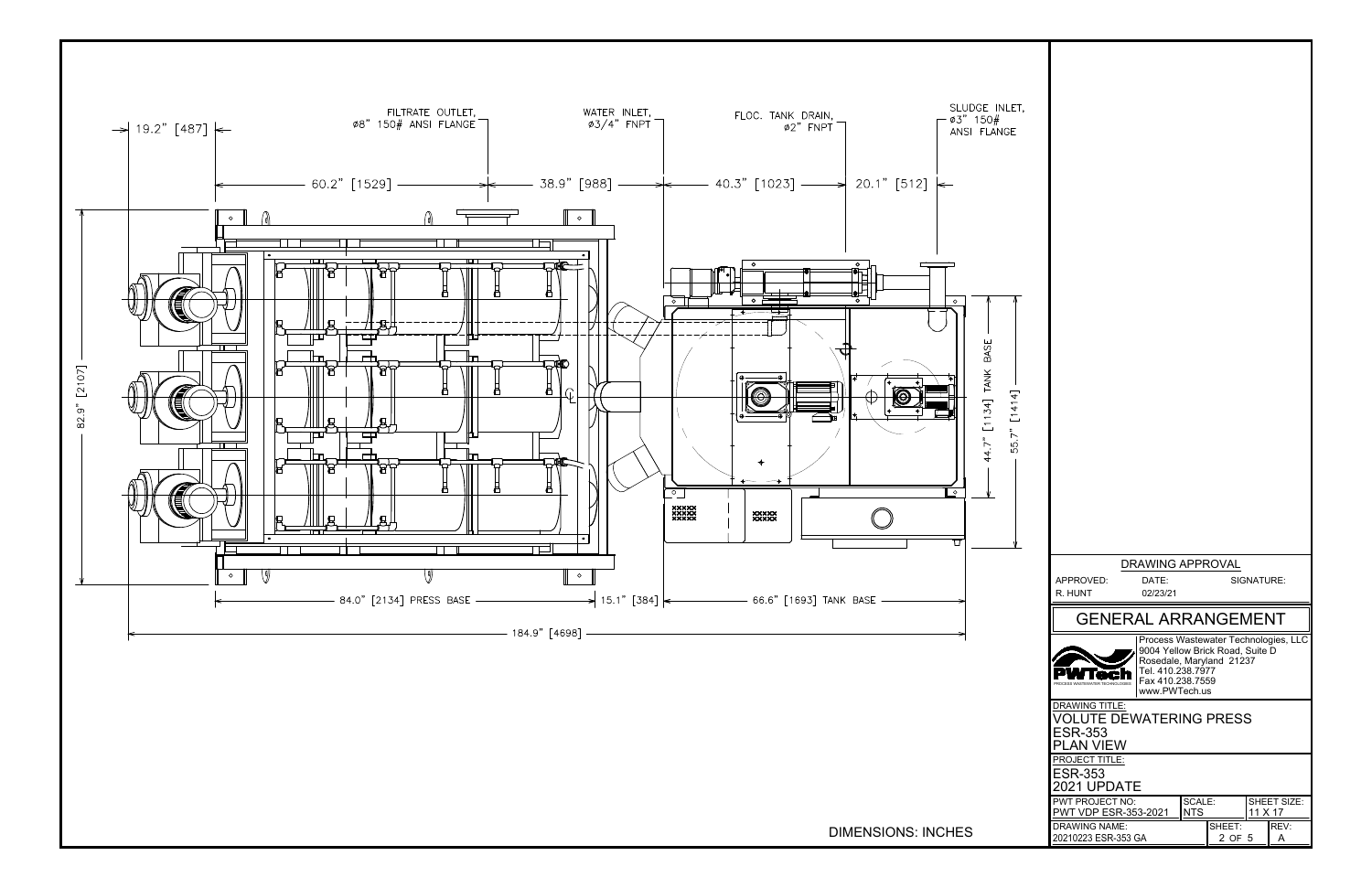

| SLUDGE INLET,<br>ø3" 150#<br>ANSI FLANGE<br>$20.1"$ [512] $\leftarrow$       |                                                                                                                                                                                          |
|------------------------------------------------------------------------------|------------------------------------------------------------------------------------------------------------------------------------------------------------------------------------------|
| ۰<br>$\circ$<br>44.7" [1134] TANK BASE<br>55.7" [1414]<br>e<br>De<br>$\circ$ |                                                                                                                                                                                          |
| ਧ                                                                            | DRAWING APPROVAL                                                                                                                                                                         |
| ANK BASE -                                                                   | APPROVED:<br>DATE:<br>SIGNATURE:<br>R. HUNT<br>02/23/21                                                                                                                                  |
|                                                                              | <b>GENERAL ARRANGEMENT</b>                                                                                                                                                               |
|                                                                              | Process Wastewater Technologies, LLC<br>9004 Yellow Brick Road, Suite D<br>Rosedale, Maryland 21237<br>Tel. 410.238.7977<br>Fax 410.238.7559<br>WASTEWATER TECHNOLOGIES<br>www.PWTech.us |
|                                                                              | <b>DRAWING TITLE:</b><br><b>VOLUTE DEWATERING PRESS</b><br><b>ESR-353</b><br><b>PLAN VIEW</b><br><b>PROJECT TITLE:</b><br><b>ESR-353</b><br>2021 UPDATE                                  |
|                                                                              | PWT PROJECT NO:<br>SHEET SIZE:<br>SCALE:<br><b>NTS</b><br><b>PWT VDP ESR-353-2021</b><br>11 X 17<br><b>DRAWING NAME:</b><br>SHEET:<br>REV:                                               |
| DIMENSIONS: INCHES                                                           | 20210223 ESR-353 GA<br>2 OF 5<br>A                                                                                                                                                       |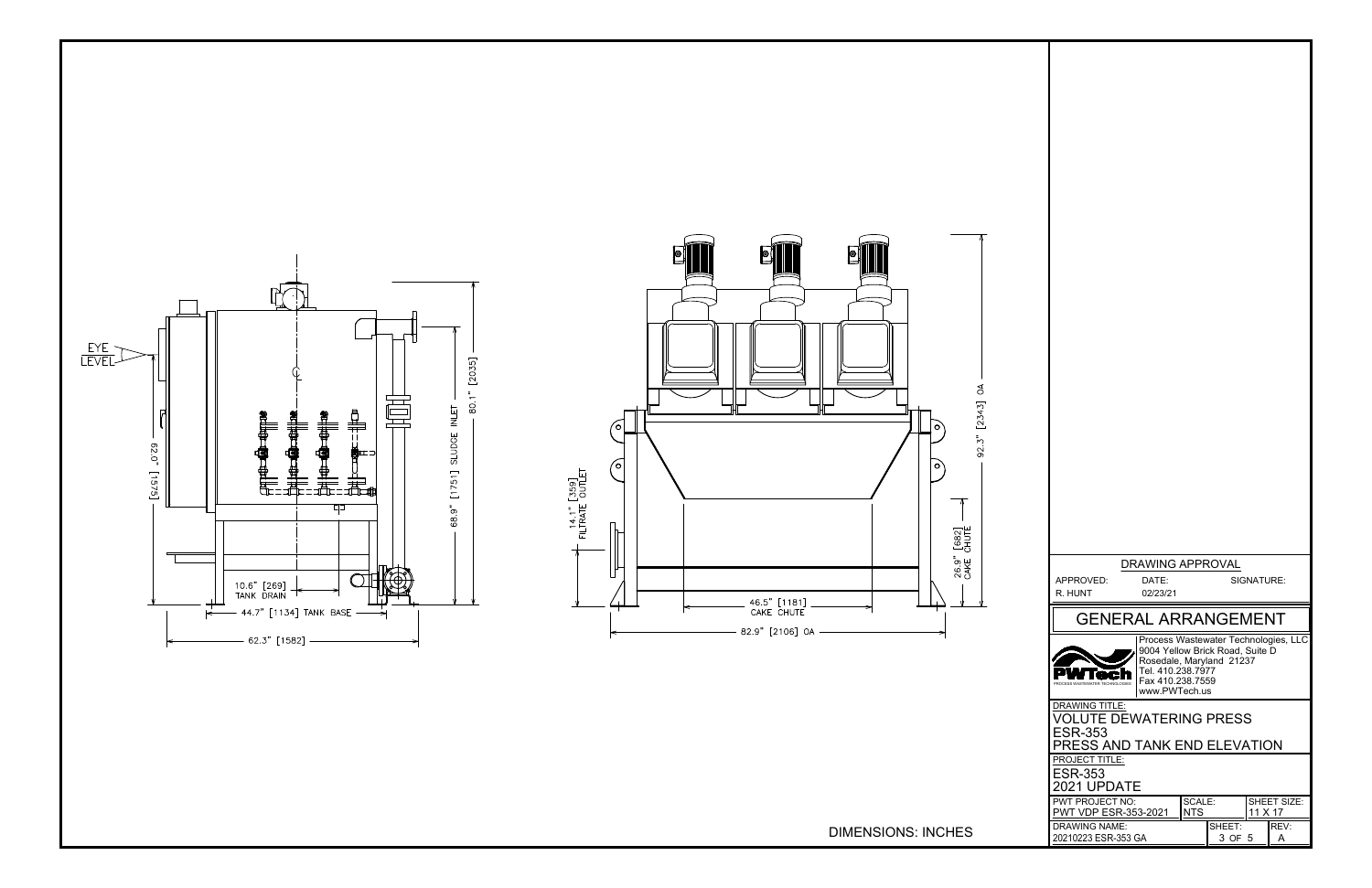

| 92.3" [2343] OA<br>$\circ$<br>$\circ$<br>$[682]$<br>CHUTE |                                                                                                                                                                                          |
|-----------------------------------------------------------|------------------------------------------------------------------------------------------------------------------------------------------------------------------------------------------|
| 26.9"<br>CAKE                                             | DRAWING APPROVAL<br>APPROVED:<br>DATE:<br>SIGNATURE:<br>02/23/21<br>R. HUNT                                                                                                              |
|                                                           | <b>GENERAL ARRANGEMENT</b>                                                                                                                                                               |
|                                                           | Process Wastewater Technologies, LLC<br>9004 Yellow Brick Road, Suite D<br>Rosedale, Maryland 21237<br>Tel. 410.238.7977<br>Fax 410.238.7559<br>WASTEWATER TECHNOLOGIES<br>www.PWTech.us |
|                                                           | <b>DRAWING TITLE:</b><br><b>VOLUTE DEWATERING PRESS</b><br><b>ESR-353</b><br>PRESS AND TANK END ELEVATION                                                                                |
|                                                           | <b>PROJECT TITLE:</b><br><b>ESR-353</b><br>2021 UPDATE<br>PWT PROJECT NO:<br>SCALE:<br>SHEET SIZE:                                                                                       |
| <b>DIMENSIONS: INCHES</b>                                 | PWT VDP ESR-353-2021<br><b>NTS</b><br>11 X 17<br><b>DRAWING NAME:</b><br>REV:<br>SHEET:<br>20210223 ESR-353 GA<br>3 OF 5<br>A                                                            |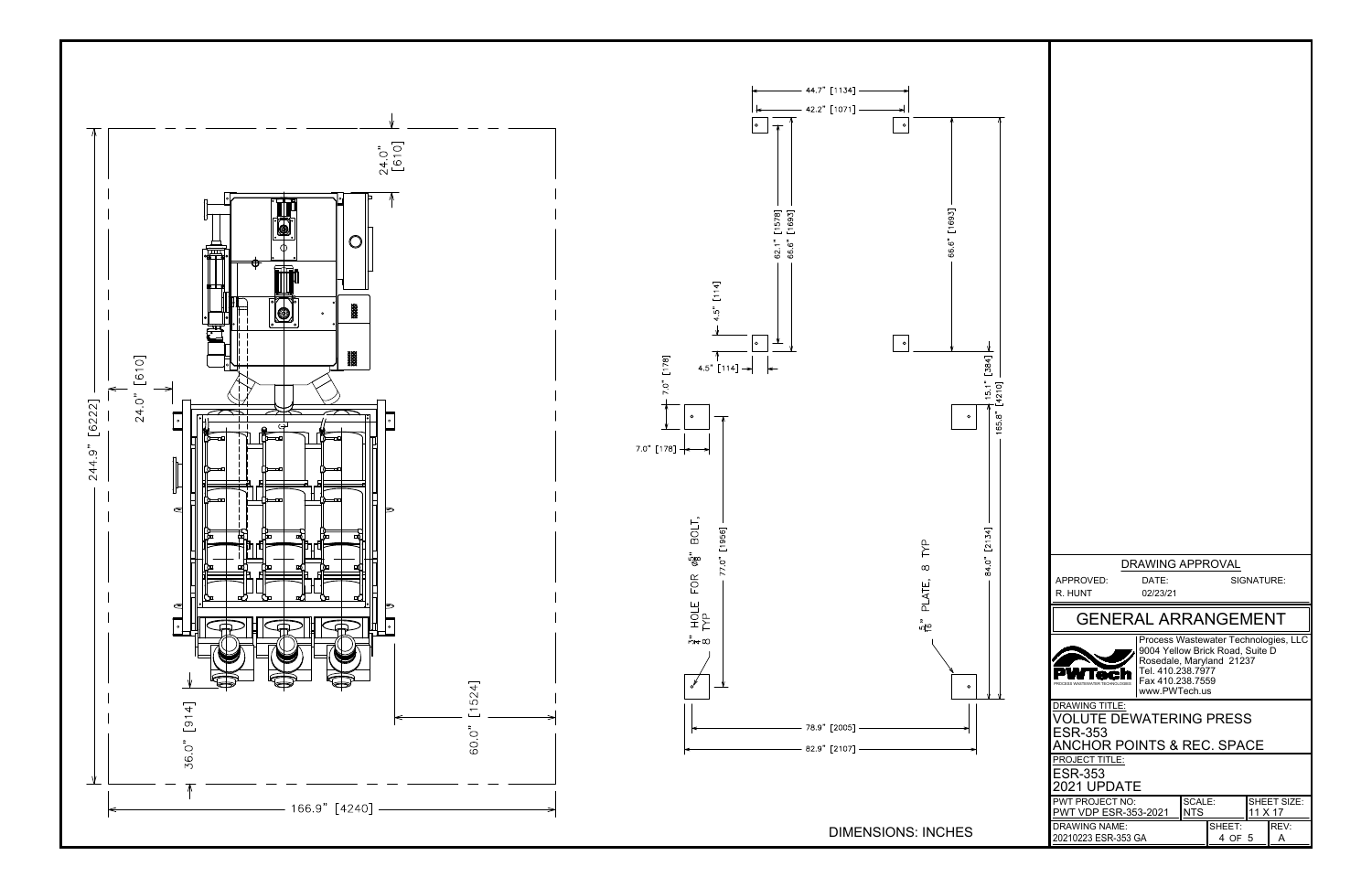

| $[1134]$<br>$[1071]$<br>$\circ$                                                                          |                                                                                                                                                                                                  |
|----------------------------------------------------------------------------------------------------------|--------------------------------------------------------------------------------------------------------------------------------------------------------------------------------------------------|
| [1693]<br>66.6"<br>$\circ$<br>$\frac{15.1" [384]}{[4210] - 1}$<br>65.8"<br>$\circ$<br>[2134]<br>$\Omega$ |                                                                                                                                                                                                  |
| ≿<br>84.0"<br>$\infty$<br>PLATE,                                                                         | DRAWING APPROVAL<br>APPROVED:<br>DATE:<br>SIGNATURE:<br>R. HUNT<br>02/23/21                                                                                                                      |
| $\frac{5}{16}$                                                                                           | <b>GENERAL ARRANGEMENT</b>                                                                                                                                                                       |
| o                                                                                                        | Process Wastewater Technologies, LLC<br>9004 Yellow Brick Road, Suite D<br>Rosedale, Maryland 21237<br>Tel. 410.238.7977<br>Fax 410.238.7559<br>PROCESS WASTEWATER TECHNOLOGIES<br>www.PWTech.us |
| $[2005]$ -<br>$[2107]$ -                                                                                 | <b>DRAWING TITLE:</b><br><b>VOLUTE DEWATERING PRESS</b><br><b>ESR-353</b><br><b>ANCHOR POINTS &amp; REC. SPACE</b>                                                                               |
|                                                                                                          | <b>PROJECT TITLE:</b><br><b>ESR-353</b><br>2021 UPDATE<br>PWT PROJECT NO:<br>SCALE:<br>SHEET SIZE:                                                                                               |
|                                                                                                          | <b>NTS</b><br>PWT VDP ESR-353-2021<br>11 X 17<br><b>DRAWING NAME:</b><br>REV:<br>SHEET:                                                                                                          |
| DIMENSIONS: INCHES                                                                                       | 20210223 ESR-353 GA<br>4 OF 5<br>$\overline{A}$                                                                                                                                                  |